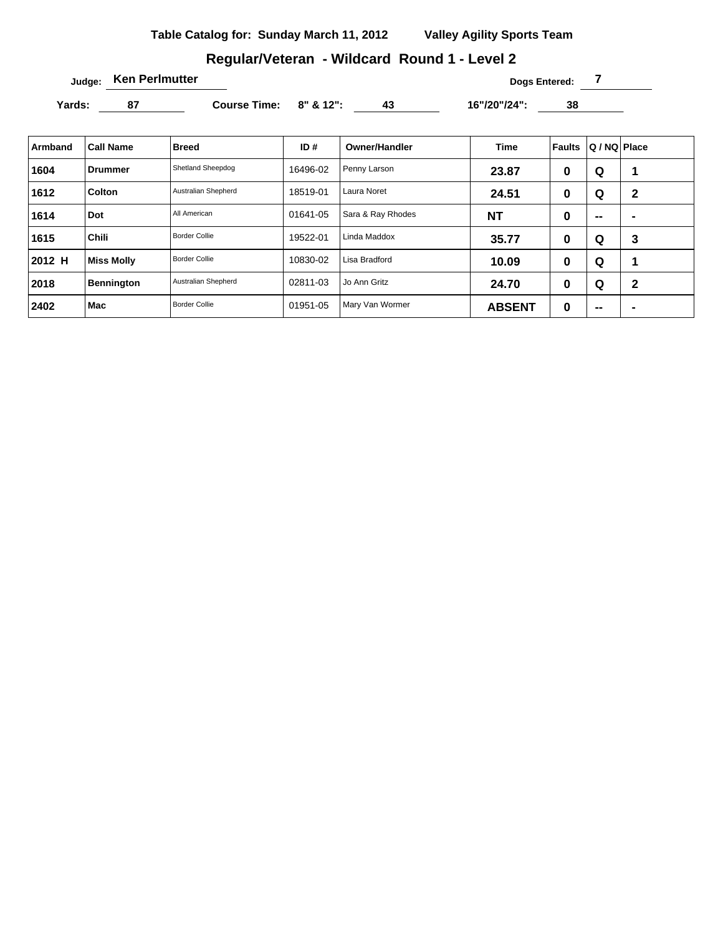# **Regular/Veteran - Wildcard Round 1 - Level 2**

**Judge: Ken Perlmutter Dogs Entered: 7** 

Yards: 87 Course Time: 8" & 12": 43 16"/20"/24": 38

| Armband | <b>Call Name</b>  | <b>Breed</b>         | ID#      | <b>Owner/Handler</b> | <b>Time</b>   | Faults | Q / NQ Place |                |
|---------|-------------------|----------------------|----------|----------------------|---------------|--------|--------------|----------------|
| 1604    | Drummer           | Shetland Sheepdog    | 16496-02 | Penny Larson         | 23.87         | 0      | Q            |                |
| 1612    | Colton            | Australian Shepherd  | 18519-01 | Laura Noret          | 24.51         | 0      | Q            | $\mathbf{2}$   |
| 1614    | Dot               | All American         | 01641-05 | Sara & Ray Rhodes    | <b>NT</b>     | 0      | $\sim$       | $\blacksquare$ |
| 1615    | <b>Chili</b>      | <b>Border Collie</b> | 19522-01 | Linda Maddox         | 35.77         | 0      | Q            | 3              |
| 2012 H  | <b>Miss Molly</b> | <b>Border Collie</b> | 10830-02 | Lisa Bradford        | 10.09         | 0      | Q            | 1              |
| 2018    | Bennington        | Australian Shepherd  | 02811-03 | Jo Ann Gritz         | 24.70         | 0      | Q            | $\mathbf{2}$   |
| 2402    | Mac               | <b>Border Collie</b> | 01951-05 | Mary Van Wormer      | <b>ABSENT</b> | 0      | $\sim$       | $\blacksquare$ |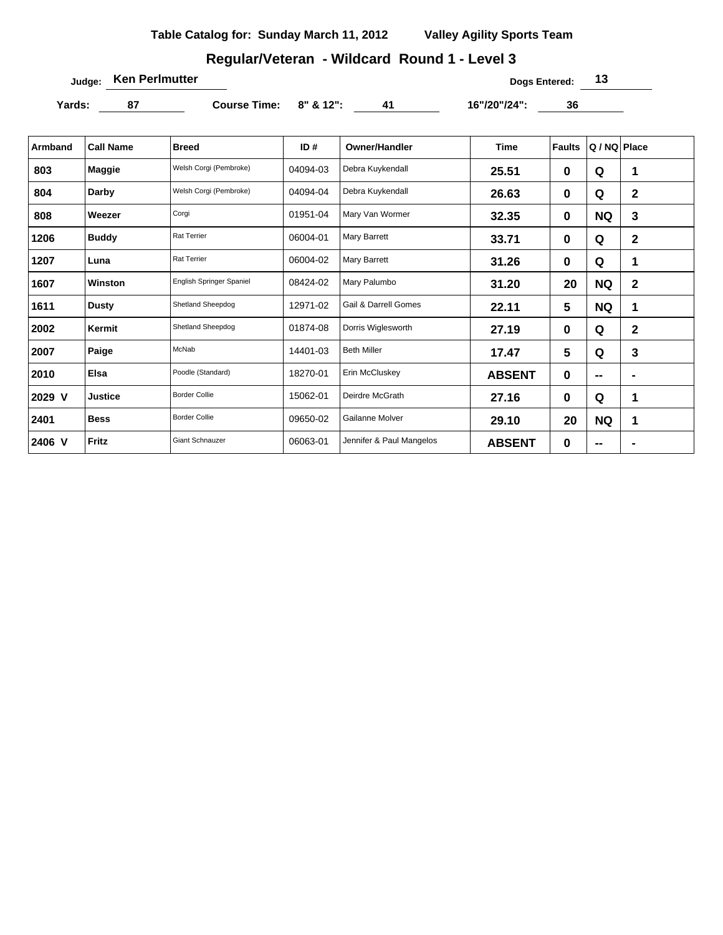# **Regular/Veteran - Wildcard Round 1 - Level 3**

**Judge: Ken Perlmutter 13** 

Yards: 87 Course Time: 8" & 12": 41 16"/20"/24": 36

| Armband | <b>Call Name</b> | <b>Breed</b>             | ID#      | <b>Owner/Handler</b>            | <b>Time</b>   | <b>Faults</b> | Q / NQ Place   |              |
|---------|------------------|--------------------------|----------|---------------------------------|---------------|---------------|----------------|--------------|
| 803     | Maggie           | Welsh Corgi (Pembroke)   | 04094-03 | Debra Kuykendall                | 25.51         | 0             | Q              | 1            |
| 804     | Darby            | Welsh Corgi (Pembroke)   | 04094-04 | Debra Kuykendall                | 26.63         | 0             | Q              | $\mathbf{2}$ |
| 808     | Weezer           | Corgi                    | 01951-04 | Mary Van Wormer                 | 32.35         | 0             | <b>NQ</b>      | 3            |
| 1206    | <b>Buddy</b>     | <b>Rat Terrier</b>       | 06004-01 | Mary Barrett                    | 33.71         | 0             | Q              | $\mathbf{2}$ |
| 1207    | Luna             | <b>Rat Terrier</b>       | 06004-02 | Mary Barrett                    | 31.26         | 0             | Q              | 1            |
| 1607    | Winston          | English Springer Spaniel | 08424-02 | Mary Palumbo                    | 31.20         | 20            | <b>NQ</b>      | $\mathbf{2}$ |
| 1611    | <b>Dusty</b>     | Shetland Sheepdog        | 12971-02 | <b>Gail &amp; Darrell Gomes</b> | 22.11         | 5             | <b>NQ</b>      | 1            |
| 2002    | Kermit           | Shetland Sheepdog        | 01874-08 | Dorris Wiglesworth              | 27.19         | $\mathbf 0$   | Q              | $\mathbf{2}$ |
| 2007    | Paige            | McNab                    | 14401-03 | <b>Beth Miller</b>              | 17.47         | 5             | Q              | 3            |
| 2010    | Elsa             | Poodle (Standard)        | 18270-01 | Erin McCluskey                  | <b>ABSENT</b> | 0             | $\blacksquare$ |              |
| 2029 V  | <b>Justice</b>   | <b>Border Collie</b>     | 15062-01 | Deirdre McGrath                 | 27.16         | 0             | Q              | 1            |
| 2401    | <b>Bess</b>      | <b>Border Collie</b>     | 09650-02 | Gailanne Molver                 | 29.10         | 20            | <b>NQ</b>      | 1            |
| 2406 V  | Fritz            | <b>Giant Schnauzer</b>   | 06063-01 | Jennifer & Paul Mangelos        | <b>ABSENT</b> | 0             | $\blacksquare$ |              |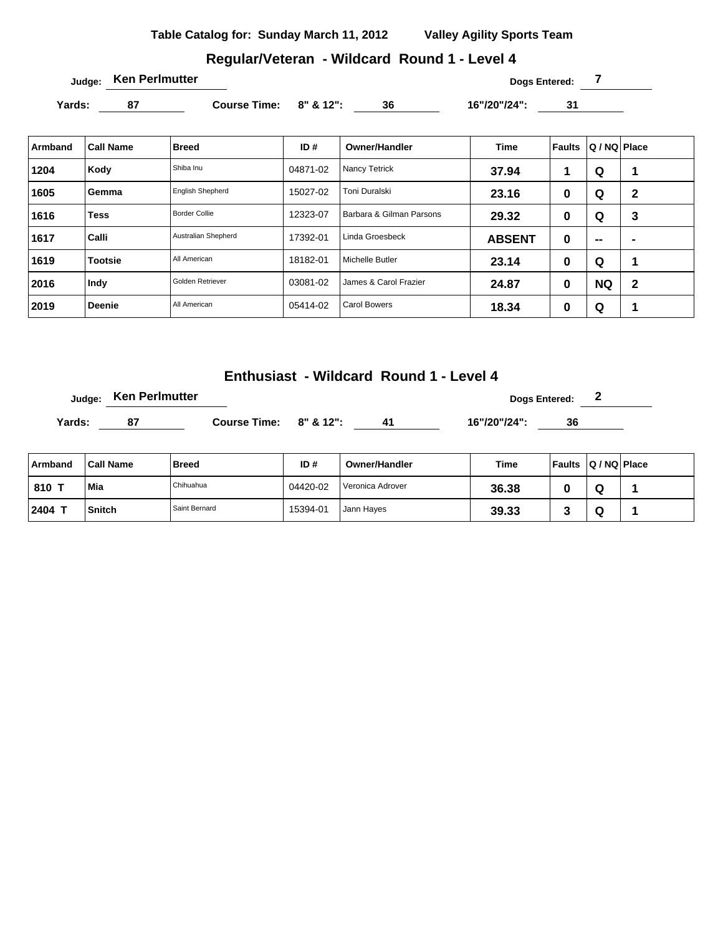# **Regular/Veteran - Wildcard Round 1 - Level 4**

Yards: 87 Course Time: 8" & 12": 36 16"/20"/24": 31

| Armband | <b>Call Name</b> | <b>Breed</b>            | ID#      | <b>Owner/Handler</b>     | <b>Time</b>   | Faults | Q / NQ Place |              |
|---------|------------------|-------------------------|----------|--------------------------|---------------|--------|--------------|--------------|
| 1204    | Kody             | Shiba Inu               | 04871-02 | Nancy Tetrick            | 37.94         | 1      | Q            | ٠            |
| 1605    | Gemma            | <b>English Shepherd</b> | 15027-02 | Toni Duralski            | 23.16         | 0      | Q            | $\mathbf{2}$ |
| 1616    | <b>Tess</b>      | <b>Border Collie</b>    | 12323-07 | Barbara & Gilman Parsons | 29.32         | 0      | Q            | 3            |
| 1617    | Calli            | Australian Shepherd     | 17392-01 | Linda Groesbeck          | <b>ABSENT</b> | 0      | --           | -            |
| 1619    | <b>Tootsie</b>   | All American            | 18182-01 | Michelle Butler          | 23.14         | 0      | Q            | и            |
| 2016    | Indy             | Golden Retriever        | 03081-02 | James & Carol Frazier    | 24.87         | 0      | <b>NQ</b>    | 2            |
| 2019    | <b>Deenie</b>    | All American            | 05414-02 | Carol Bowers             | 18.34         | 0      | Q            | и            |

**Enthusiast - Wildcard Round 1 - Level 4**

|        | Judge: Ken Perlmutter |                        |    |              | <b>Dogs Entered:</b><br>$\overline{\phantom{a}}$ |  |
|--------|-----------------------|------------------------|----|--------------|--------------------------------------------------|--|
| Yards: | 87                    | Course Time: 8" & 12": | 41 | 16"/20"/24": | 36                                               |  |

| Armband | <b>Call Name</b> | Breed         | ID#      | <b>Owner/Handler</b> | Time  | Faults | $ Q/NQ $ Place |  |
|---------|------------------|---------------|----------|----------------------|-------|--------|----------------|--|
| 810 7   | Mia              | Chihuahua     | 04420-02 | Veronica Adrover     | 36.38 |        | w              |  |
| 2404    | <b>Snitch</b>    | Saint Bernard | 15394-01 | Jann Hayes           | 39.33 |        | ч              |  |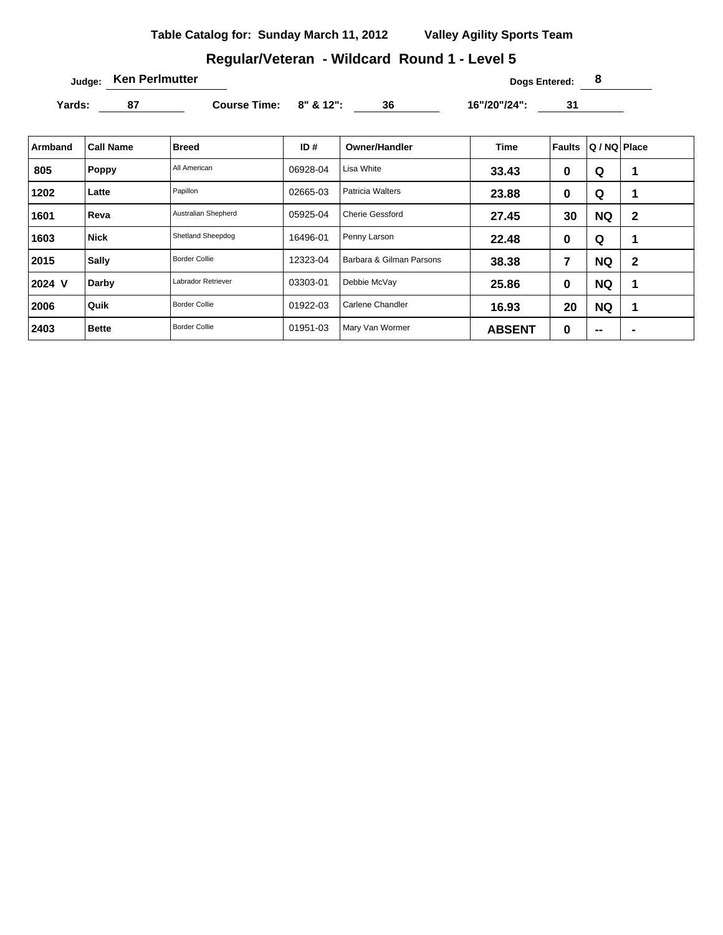# **Regular/Veteran - Wildcard Round 1 - Level 5**

**Judge: Ken Perlmutter 8** 

Yards: 87 Course Time: 8" & 12": 36 16"/20"/24": 31

| <b>Armband</b> | <b>Call Name</b> | <b>Breed</b>         | ID#      | <b>Owner/Handler</b>     | <b>Time</b>   | <b>Faults</b> | Q / NQ   Place           |                |
|----------------|------------------|----------------------|----------|--------------------------|---------------|---------------|--------------------------|----------------|
| 805            | <b>Poppy</b>     | All American         | 06928-04 | Lisa White               | 33.43         | 0             | Q                        | 1              |
| 1202           | Latte            | Papillon             | 02665-03 | <b>Patricia Walters</b>  | 23.88         | 0             | Q                        | 1              |
| 1601           | Reva             | Australian Shepherd  | 05925-04 | <b>Cherie Gessford</b>   | 27.45         | 30            | <b>NQ</b>                | $\mathbf{2}$   |
| 1603           | <b>Nick</b>      | Shetland Sheepdog    | 16496-01 | Penny Larson             | 22.48         | 0             | Q                        | 1              |
| 2015           | <b>Sally</b>     | <b>Border Collie</b> | 12323-04 | Barbara & Gilman Parsons | 38.38         | 7             | <b>NQ</b>                | $\mathbf{2}$   |
| 2024 V         | Darby            | Labrador Retriever   | 03303-01 | Debbie McVay             | 25.86         | 0             | <b>NQ</b>                | 1              |
| 2006           | Quik             | <b>Border Collie</b> | 01922-03 | Carlene Chandler         | 16.93         | 20            | <b>NQ</b>                | 1              |
| 2403           | <b>Bette</b>     | <b>Border Collie</b> | 01951-03 | Mary Van Wormer          | <b>ABSENT</b> | 0             | $\overline{\phantom{a}}$ | $\blacksquare$ |